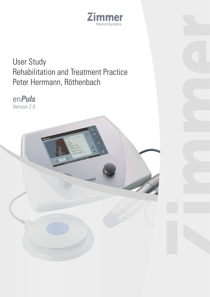

# User Study Rehabilitation and Treatment Practice Peter Herrmann, Röthenbach

immer

en**Puls** Version 2.0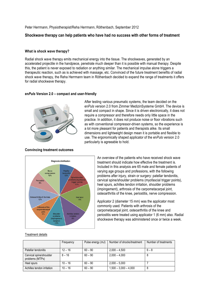Peter Herrmann, Physiotherapist/Reha Herrmann, Röthenbach, September 2012

# **Shockwave therapy can help patients who have had no success with other forms of treatment**

### **What is shock wave therapy?**

Radial shock wave therapy emits mechanical energy into the tissue. The shockwaves, generated by an accelerated projectile in the handpiece, penetrate much deeper than it is possible with manual therapy. Despite this, the patient is never exposed to radiation or anything similar. The mechanical impulse alone triggers a therapeutic reaction, such as is achieved with massage, etc. Convinced of the future treatment benefits of radial shock wave therapy, the Reha Herrmann team in Röthenbach decided to expand the range of treatments it offers for radial shockwave therapy.

#### **en***Puls* **Version 2.0 – compact and user-friendly**



After testing various pneumatic systems, the team decided on the en*Puls* version 2.0 from Zimmer MedizinSysteme GmbH. The device is small and compact in shape. Since it is driven electronically, it does not require a compressor and therefore needs only little space in the practice. In addition, it does not produce noise or floor vibrations such as with conventional compressor-driven systems, so the experience is a lot more pleasant for patients and therapists alike. Its small dimensions and lightweight design mean it is portable and flexible to use. The ergonomically shaped applicator of the en*Puls* version 2.0 particularly is agreeable to hold.





An overview of the patients who have received shock wave treatment should indicate how effective the treatment is. Included in this analysis are 65 male and female patients of varying age groups and professions, with the following problems after injury, strain or surgery: patellar tendonitis, cervical spine/shoulder problems (myofascial trigger points). heel spurs, achilles tendon irritation, shoulder problems (impingement), arthrosis of the carpometacarpal joint, osteoarthritis of the knee, periostitis, nerve compression.

Applicator 2 (diameter 15 mm) was the applicator most commonly used. Patients with arthrosis of the carpometacarpal joint, osteoarthritis of the knee and periostitis were treated using applicator 1 (6 mm) also. Radial shockwave therapy was administered once or twice a week.

|                                            | Frequency | Pulse energy (mJ) | Number of shocks/treatment | Number of treatments |
|--------------------------------------------|-----------|-------------------|----------------------------|----------------------|
| Patellar tendonitis                        | $12 - 16$ | $60 - 90$         | $2.000 - 4.500$            | $6 - 8$              |
| Cervical spine/shoulder<br>problems (MTPs) | $8 - 16$  | $60 - 90$         | $2.000 - 4.000$            |                      |
| Heel spurs                                 | $10 - 16$ | $60 - 90$         | $2.000 - 5.000$            |                      |
| Achilles tendon irritation                 | $10 - 16$ | $60 - 90$         | $1,500 - 3,000 - 4,000$    |                      |

#### Treatment details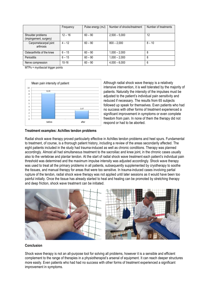|                                             | Frequency | Pulse energy (mJ) | Number of shocks/treatment | Number of treatments |
|---------------------------------------------|-----------|-------------------|----------------------------|----------------------|
| Shoulder problems<br>(impingement, surgery) | $12 - 16$ | $60 - 90$         | $2,500 - 5,000$            | 12                   |
| Carpometacarpal joint<br>arthrosis          | $4 - 12$  | $60 - 90$         | $800 - 2,000$              | $8 - 10$             |
| Osteoarthritis of the knee                  | $6 - 15$  | $60 - 90$         | $1,000 - 2,000$            | 8                    |
| <b>Periostitis</b>                          | $6 - 15$  | $60 - 90$         | $1,000 - 2,000$            | 8                    |
| Nerve compression                           | $10 - 16$ | $60 - 90$         | $4,000 - 6,000$            | 6                    |

MTPs = myofascial trigger points



Although radial shock wave therapy is a relatively intensive intervention, it is well tolerated by the majority of patients. Naturally the intensity of the impulses must be adjusted to the patient's individual pain sensitivity and reduced if necessary. The results from 65 subjects followed up speak for themselves. Even patients who had no success with other forms of treatment experienced a significant improvement in symptoms or even complete freedom from pain. In none of them the therapy did not respond or had to be aborted.

## **Treatment examples: Achilles tendon problems**

Radial shock wave therapy proved particularly effective in Achilles tendon problems and heel spurs. Fundamental to treatment, of course, is a thorough patient history, including a review of the areas secondarily affected. The eight patients included in the study had trauma-induced as well as chronic conditions. Therapy was planned accordingly. Almost all had simultaneous treatment to the sacroiliac and knee joint, in the chronic cases usually also to the vertebrae and plantar tendon. At the start of radial shock wave treatment each patient's individual pain threshold was determined and the maximum impulse intensity was adjusted accordingly. Shock wave therapy was used to treat all the primary problems in all patients, subsequently supplemented by cryotherapy to soothe the tissues, and manual therapy for areas that were too sensitive. In trauma-induced cases involving partial rupture of the tendon, radial shock wave therapy was not applied until later sessions as it would have been too painful initially. Once the tissue has already started to heal and healing can be promoted by stretching therapy and deep friction, shock wave treatment can be initiated.



#### **Conclusion**

Shock wave therapy is not an all-purpose tool for solving all problems, however it is a sensible and efficient complement to the range of therapies in a physiotherapist's arsenal of equipment. It can reach deeper structures more easily. Even patients who had had no success with other forms of treatment experienced a significant improvement in symptoms.